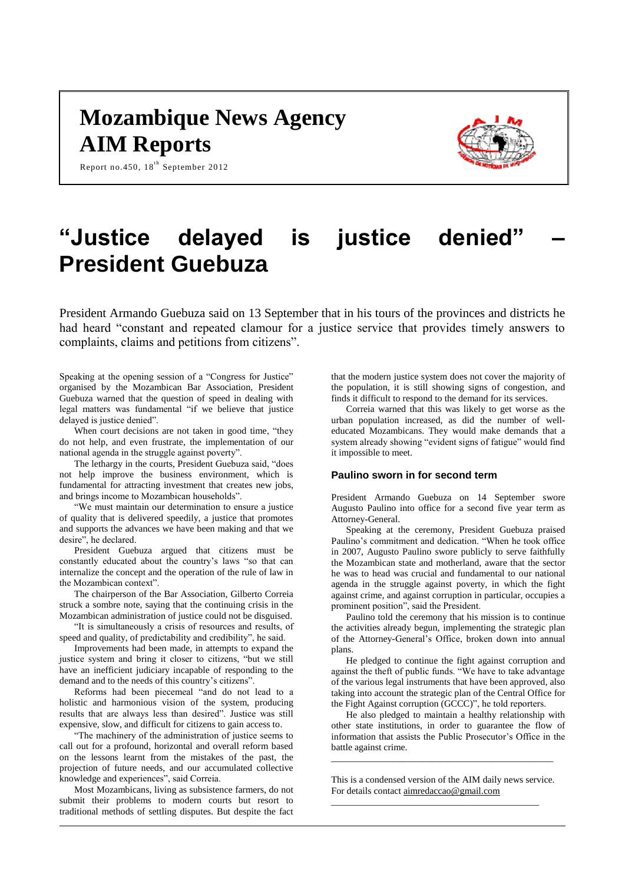## **Mozambique News Agency AIM Reports**



Report no.450, 18<sup>th</sup> September 2012

# **"Justice delayed is justice denied" – President Guebuza**

President Armando Guebuza said on 13 September that in his tours of the provinces and districts he had heard "constant and repeated clamour for a justice service that provides timely answers to complaints, claims and petitions from citizens".

Speaking at the opening session of a "Congress for Justice" organised by the Mozambican Bar Association, President Guebuza warned that the question of speed in dealing with legal matters was fundamental "if we believe that justice delayed is justice denied".

When court decisions are not taken in good time, "they do not help, and even frustrate, the implementation of our national agenda in the struggle against poverty".

The lethargy in the courts, President Guebuza said, "does not help improve the business environment, which is fundamental for attracting investment that creates new jobs, and brings income to Mozambican households".

"We must maintain our determination to ensure a justice of quality that is delivered speedily, a justice that promotes and supports the advances we have been making and that we desire", he declared.

President Guebuza argued that citizens must be constantly educated about the country's laws "so that can internalize the concept and the operation of the rule of law in the Mozambican context".

The chairperson of the Bar Association, Gilberto Correia struck a sombre note, saying that the continuing crisis in the Mozambican administration of justice could not be disguised.

"It is simultaneously a crisis of resources and results, of speed and quality, of predictability and credibility", he said.

Improvements had been made, in attempts to expand the justice system and bring it closer to citizens, "but we still have an inefficient judiciary incapable of responding to the demand and to the needs of this country's citizens".

Reforms had been piecemeal "and do not lead to a holistic and harmonious vision of the system, producing results that are always less than desired". Justice was still expensive, slow, and difficult for citizens to gain access to.

"The machinery of the administration of justice seems to call out for a profound, horizontal and overall reform based on the lessons learnt from the mistakes of the past, the projection of future needs, and our accumulated collective knowledge and experiences", said Correia.

Most Mozambicans, living as subsistence farmers, do not submit their problems to modern courts but resort to traditional methods of settling disputes. But despite the fact that the modern justice system does not cover the majority of the population, it is still showing signs of congestion, and finds it difficult to respond to the demand for its services.

Correia warned that this was likely to get worse as the urban population increased, as did the number of welleducated Mozambicans. They would make demands that a system already showing "evident signs of fatigue" would find it impossible to meet.

#### **Paulino sworn in for second term**

President Armando Guebuza on 14 September swore Augusto Paulino into office for a second five year term as Attorney-General.

Speaking at the ceremony, President Guebuza praised Paulino's commitment and dedication. "When he took office in 2007, Augusto Paulino swore publicly to serve faithfully the Mozambican state and motherland, aware that the sector he was to head was crucial and fundamental to our national agenda in the struggle against poverty, in which the fight against crime, and against corruption in particular, occupies a prominent position", said the President.

Paulino told the ceremony that his mission is to continue the activities already begun, implementing the strategic plan of the Attorney-General's Office, broken down into annual plans.

He pledged to continue the fight against corruption and against the theft of public funds. "We have to take advantage of the various legal instruments that have been approved, also taking into account the strategic plan of the Central Office for the Fight Against corruption (GCCC)", he told reporters.

He also pledged to maintain a healthy relationship with other state institutions, in order to guarantee the flow of information that assists the Public Prosecutor's Office in the battle against crime.

This is a condensed version of the AIM daily news service. For details contac[t aimredaccao@gmail.com](mailto:aimredaccao@gmail.com)

\_\_\_\_\_\_\_\_\_\_\_\_\_\_\_\_\_\_\_\_\_\_\_\_\_\_\_\_\_\_\_\_\_\_\_\_\_\_\_\_\_\_\_\_

\_\_\_\_\_\_\_\_\_\_\_\_\_\_\_\_\_\_\_\_\_\_\_\_\_\_\_\_\_\_\_\_\_\_\_\_\_\_\_\_\_\_\_\_\_\_\_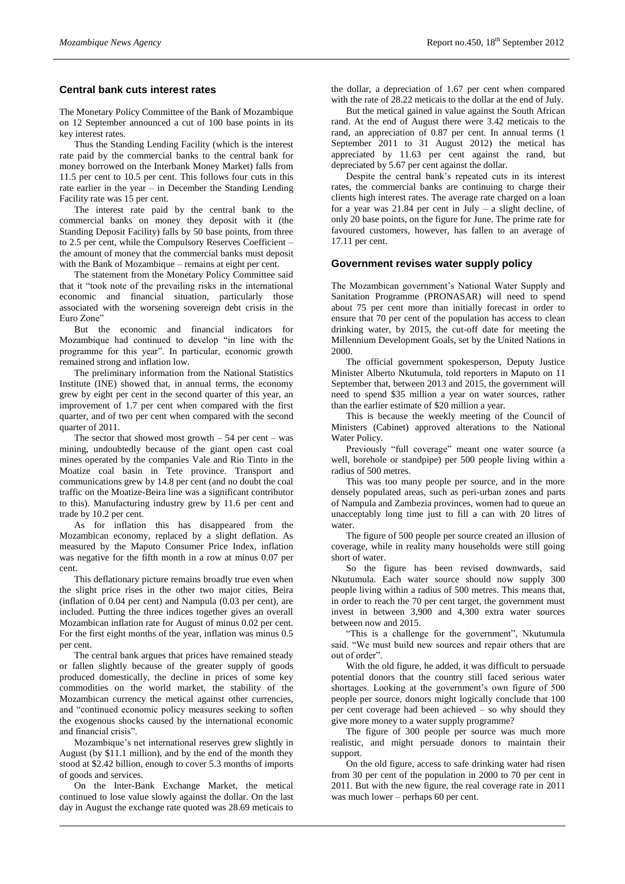#### **Central bank cuts interest rates**

The Monetary Policy Committee of the Bank of Mozambique on 12 September announced a cut of 100 base points in its key interest rates.

Thus the Standing Lending Facility (which is the interest rate paid by the commercial banks to the central bank for money borrowed on the Interbank Money Market) falls from 11.5 per cent to 10.5 per cent. This follows four cuts in this rate earlier in the year – in December the Standing Lending Facility rate was 15 per cent.

The interest rate paid by the central bank to the commercial banks on money they deposit with it (the Standing Deposit Facility) falls by 50 base points, from three to 2.5 per cent, while the Compulsory Reserves Coefficient – the amount of money that the commercial banks must deposit with the Bank of Mozambique – remains at eight per cent.

The statement from the Monetary Policy Committee said that it "took note of the prevailing risks in the international economic and financial situation, particularly those associated with the worsening sovereign debt crisis in the Euro Zone"

But the economic and financial indicators for Mozambique had continued to develop "in line with the programme for this year". In particular, economic growth remained strong and inflation low.

The preliminary information from the National Statistics Institute (INE) showed that, in annual terms, the economy grew by eight per cent in the second quarter of this year, an improvement of 1.7 per cent when compared with the first quarter, and of two per cent when compared with the second quarter of 2011.

The sector that showed most growth  $-54$  per cent  $-$  was mining, undoubtedly because of the giant open cast coal mines operated by the companies Vale and Rio Tinto in the Moatize coal basin in Tete province. Transport and communications grew by 14.8 per cent (and no doubt the coal traffic on the Moatize-Beira line was a significant contributor to this). Manufacturing industry grew by 11.6 per cent and trade by 10.2 per cent.

As for inflation this has disappeared from the Mozambican economy, replaced by a slight deflation. As measured by the Maputo Consumer Price Index, inflation was negative for the fifth month in a row at minus 0.07 per cent.

This deflationary picture remains broadly true even when the slight price rises in the other two major cities, Beira (inflation of 0.04 per cent) and Nampula (0.03 per cent), are included. Putting the three indices together gives an overall Mozambican inflation rate for August of minus 0.02 per cent. For the first eight months of the year, inflation was minus 0.5 per cent.

The central bank argues that prices have remained steady or fallen slightly because of the greater supply of goods produced domestically, the decline in prices of some key commodities on the world market, the stability of the Mozambican currency the metical against other currencies, and "continued economic policy measures seeking to soften the exogenous shocks caused by the international economic and financial crisis".

Mozambique's net international reserves grew slightly in August (by \$11.1 million), and by the end of the month they stood at \$2.42 billion, enough to cover 5.3 months of imports of goods and services.

On the Inter-Bank Exchange Market, the metical continued to lose value slowly against the dollar. On the last day in August the exchange rate quoted was 28.69 meticais to

the dollar, a depreciation of 1.67 per cent when compared with the rate of 28.22 meticais to the dollar at the end of July.

But the metical gained in value against the South African rand. At the end of August there were 3.42 meticais to the rand, an appreciation of 0.87 per cent. In annual terms (1 September 2011 to 31 August 2012) the metical has appreciated by 11.63 per cent against the rand, but depreciated by 5.67 per cent against the dollar.

Despite the central bank's repeated cuts in its interest rates, the commercial banks are continuing to charge their clients high interest rates. The average rate charged on a loan for a year was 21.84 per cent in July – a slight decline, of only 20 base points, on the figure for June. The prime rate for favoured customers, however, has fallen to an average of 17.11 per cent.

#### **Government revises water supply policy**

The Mozambican government's National Water Supply and Sanitation Programme (PRONASAR) will need to spend about 75 per cent more than initially forecast in order to ensure that 70 per cent of the population has access to clean drinking water, by 2015, the cut-off date for meeting the Millennium Development Goals, set by the United Nations in 2000.

The official government spokesperson, Deputy Justice Minister Alberto Nkutumula, told reporters in Maputo on 11 September that, between 2013 and 2015, the government will need to spend \$35 million a year on water sources, rather than the earlier estimate of \$20 million a year.

This is because the weekly meeting of the Council of Ministers (Cabinet) approved alterations to the National Water Policy.

Previously "full coverage" meant one water source (a well, borehole or standpipe) per 500 people living within a radius of 500 metres.

This was too many people per source, and in the more densely populated areas, such as peri-urban zones and parts of Nampula and Zambezia provinces, women had to queue an unacceptably long time just to fill a can with 20 litres of water.

The figure of 500 people per source created an illusion of coverage, while in reality many households were still going short of water.

So the figure has been revised downwards, said Nkutumula. Each water source should now supply 300 people living within a radius of 500 metres. This means that, in order to reach the 70 per cent target, the government must invest in between 3,900 and 4,300 extra water sources between now and 2015.

"This is a challenge for the government", Nkutumula said. "We must build new sources and repair others that are out of order".

With the old figure, he added, it was difficult to persuade potential donors that the country still faced serious water shortages. Looking at the government's own figure of 500 people per source, donors might logically conclude that 100 per cent coverage had been achieved – so why should they give more money to a water supply programme?

The figure of 300 people per source was much more realistic, and might persuade donors to maintain their support.

On the old figure, access to safe drinking water had risen from 30 per cent of the population in 2000 to 70 per cent in 2011. But with the new figure, the real coverage rate in 2011 was much lower – perhaps 60 per cent.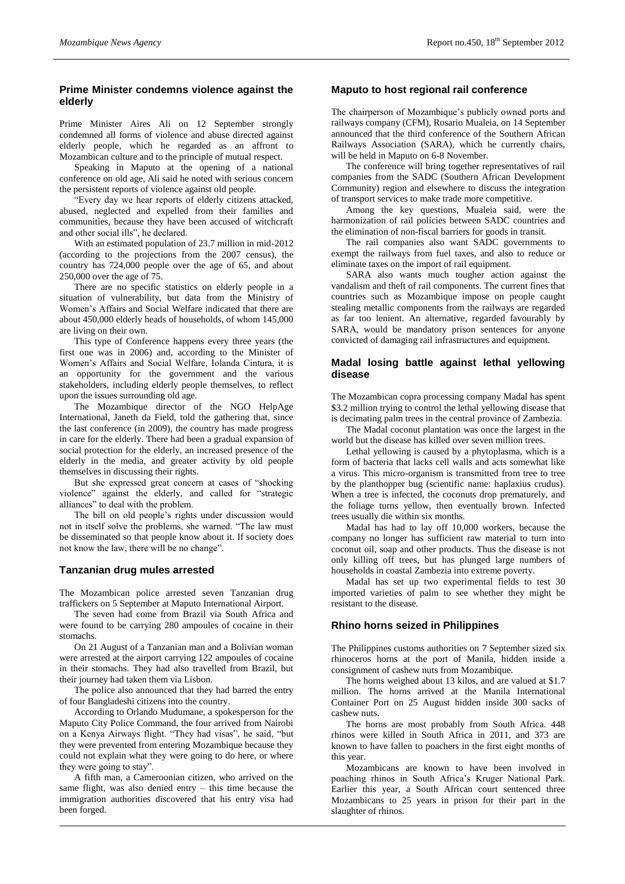### **Prime Minister condemns violence against the elderly**

Prime Minister Aires Ali on 12 September strongly condemned all forms of violence and abuse directed against elderly people, which he regarded as an affront to Mozambican culture and to the principle of mutual respect.

Speaking in Maputo at the opening of a national conference on old age, Ali said he noted with serious concern the persistent reports of violence against old people.

"Every day we hear reports of elderly citizens attacked, abused, neglected and expelled from their families and communities, because they have been accused of witchcraft and other social ills", he declared.

With an estimated population of 23.7 million in mid-2012 (according to the projections from the 2007 census), the country has 724,000 people over the age of 65, and about 250,000 over the age of 75.

There are no specific statistics on elderly people in a situation of vulnerability, but data from the Ministry of Women's Affairs and Social Welfare indicated that there are about 450,000 elderly heads of households, of whom 145,000 are living on their own.

This type of Conference happens every three years (the first one was in 2006) and, according to the Minister of Women's Affairs and Social Welfare, Iolanda Cintura, it is an opportunity for the government and the various stakeholders, including elderly people themselves, to reflect upon the issues surrounding old age.

The Mozambique director of the NGO HelpAge International, Janeth da Field, told the gathering that, since the last conference (in 2009), the country has made progress in care for the elderly. There had been a gradual expansion of social protection for the elderly, an increased presence of the elderly in the media, and greater activity by old people themselves in discussing their rights.

But she expressed great concern at cases of "shocking violence" against the elderly, and called for "strategic alliances" to deal with the problem.

The bill on old people's rights under discussion would not in itself solve the problems, she warned. "The law must be disseminated so that people know about it. If society does not know the law, there will be no change".

#### **Tanzanian drug mules arrested**

The Mozambican police arrested seven Tanzanian drug traffickers on 5 September at Maputo International Airport.

The seven had come from Brazil via South Africa and were found to be carrying 280 ampoules of cocaine in their stomachs.

On 21 August of a Tanzanian man and a Bolivian woman were arrested at the airport carrying 122 ampoules of cocaine in their stomachs. They had also travelled from Brazil, but their journey had taken them via Lisbon.

The police also announced that they had barred the entry of four Bangladeshi citizens into the country.

According to Orlando Mudumane, a spokesperson for the Maputo City Police Command, the four arrived from Nairobi on a Kenya Airways flight. "They had visas", he said, "but they were prevented from entering Mozambique because they could not explain what they were going to do here, or where they were going to stay".

A fifth man, a Cameroonian citizen, who arrived on the same flight, was also denied entry – this time because the immigration authorities discovered that his entry visa had been forged.

#### **Maputo to host regional rail conference**

The chairperson of Mozambique's publicly owned ports and railways company (CFM), Rosario Mualeia, on 14 September announced that the third conference of the Southern African Railways Association (SARA), which he currently chairs, will be held in Maputo on 6-8 November.

The conference will bring together representatives of rail companies from the SADC (Southern African Development Community) region and elsewhere to discuss the integration of transport services to make trade more competitive.

Among the key questions, Mualeia said, were the harmonization of rail policies between SADC countries and the elimination of non-fiscal barriers for goods in transit.

The rail companies also want SADC governments to exempt the railways from fuel taxes, and also to reduce or eliminate taxes on the import of rail equipment.

SARA also wants much tougher action against the vandalism and theft of rail components. The current fines that countries such as Mozambique impose on people caught stealing metallic components from the railways are regarded as far too lenient. An alternative, regarded favourably by SARA, would be mandatory prison sentences for anyone convicted of damaging rail infrastructures and equipment.

#### **Madal losing battle against lethal yellowing disease**

The Mozambican copra processing company Madal has spent \$3.2 million trying to control the lethal yellowing disease that is decimating palm trees in the central province of Zambezia.

The Madal coconut plantation was once the largest in the world but the disease has killed over seven million trees.

Lethal yellowing is caused by a phytoplasma, which is a form of bacteria that lacks cell walls and acts somewhat like a virus. This micro-organism is transmitted from tree to tree by the planthopper bug (scientific name: haplaxius crudus). When a tree is infected, the coconuts drop prematurely, and the foliage turns yellow, then eventually brown. Infected trees usually die within six months.

Madal has had to lay off 10,000 workers, because the company no longer has sufficient raw material to turn into coconut oil, soap and other products. Thus the disease is not only killing off trees, but has plunged large numbers of households in coastal Zambezia into extreme poverty.

Madal has set up two experimental fields to test 30 imported varieties of palm to see whether they might be resistant to the disease.

#### **Rhino horns seized in Philippines**

The Philippines customs authorities on 7 September sized six rhinoceros horns at the port of Manila, hidden inside a consignment of cashew nuts from Mozambique.

The horns weighed about 13 kilos, and are valued at \$1.7 million. The horns arrived at the Manila International Container Port on 25 August hidden inside 300 sacks of cashew nuts.

The horns are most probably from South Africa. 448 rhinos were killed in South Africa in 2011, and 373 are known to have fallen to poachers in the first eight months of this year.

Mozambicans are known to have been involved in poaching rhinos in South Africa's Kruger National Park. Earlier this year, a South African court sentenced three Mozambicans to 25 years in prison for their part in the slaughter of rhinos.